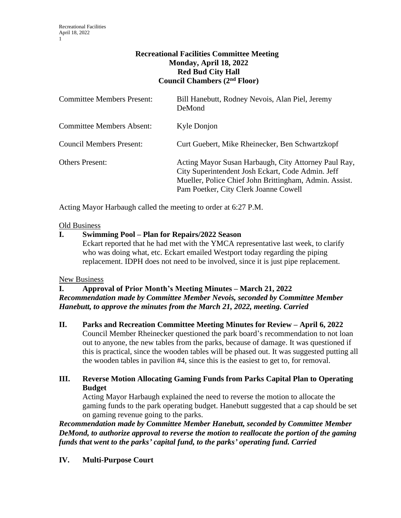# **Recreational Facilities Committee Meeting Monday, April 18, 2022 Red Bud City Hall Council Chambers (2nd Floor)**

| <b>Committee Members Present:</b> | Bill Hanebutt, Rodney Nevois, Alan Piel, Jeremy<br>DeMond                                                                                                                                                    |
|-----------------------------------|--------------------------------------------------------------------------------------------------------------------------------------------------------------------------------------------------------------|
| <b>Committee Members Absent:</b>  | Kyle Donjon                                                                                                                                                                                                  |
| <b>Council Members Present:</b>   | Curt Guebert, Mike Rheinecker, Ben Schwartzkopf                                                                                                                                                              |
| <b>Others Present:</b>            | Acting Mayor Susan Harbaugh, City Attorney Paul Ray,<br>City Superintendent Josh Eckart, Code Admin. Jeff<br>Mueller, Police Chief John Brittingham, Admin. Assist.<br>Pam Poetker, City Clerk Joanne Cowell |

Acting Mayor Harbaugh called the meeting to order at 6:27 P.M.

### Old Business

# **I. Swimming Pool – Plan for Repairs/2022 Season**

Eckart reported that he had met with the YMCA representative last week, to clarify who was doing what, etc. Eckart emailed Westport today regarding the piping replacement. IDPH does not need to be involved, since it is just pipe replacement.

#### New Business

### **I. Approval of Prior Month's Meeting Minutes – March 21, 2022** *Recommendation made by Committee Member Nevois, seconded by Committee Member Hanebutt, to approve the minutes from the March 21, 2022, meeting. Carried*

**II. Parks and Recreation Committee Meeting Minutes for Review – April 6, 2022** Council Member Rheinecker questioned the park board's recommendation to not loan out to anyone, the new tables from the parks, because of damage. It was questioned if this is practical, since the wooden tables will be phased out. It was suggested putting all the wooden tables in pavilion #4, since this is the easiest to get to, for removal.

# **III. Reverse Motion Allocating Gaming Funds from Parks Capital Plan to Operating Budget**

Acting Mayor Harbaugh explained the need to reverse the motion to allocate the gaming funds to the park operating budget. Hanebutt suggested that a cap should be set on gaming revenue going to the parks.

*Recommendation made by Committee Member Hanebutt, seconded by Committee Member DeMond, to authorize approval to reverse the motion to reallocate the portion of the gaming funds that went to the parks' capital fund, to the parks' operating fund. Carried*

# **IV. Multi-Purpose Court**